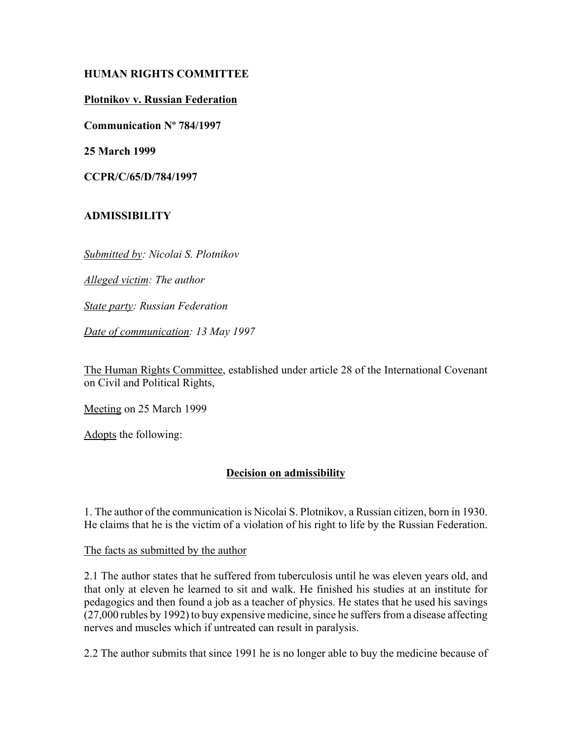## **HUMAN RIGHTS COMMITTEE**

## **Plotnikov v. Russian Federation**

**Communication Nº 784/1997**

**25 March 1999**

**CCPR/C/65/D/784/1997**

# **ADMISSIBILITY**

*Submitted by: Nicolai S. Plotnikov* 

*Alleged victim: The author* 

*State party: Russian Federation* 

*Date of communication: 13 May 1997*

The Human Rights Committee, established under article 28 of the International Covenant on Civil and Political Rights,

Meeting on 25 March 1999

Adopts the following:

## **Decision on admissibility**

1. The author of the communication is Nicolai S. Plotnikov, a Russian citizen, born in 1930. He claims that he is the victim of a violation of his right to life by the Russian Federation.

The facts as submitted by the author

2.1 The author states that he suffered from tuberculosis until he was eleven years old, and that only at eleven he learned to sit and walk. He finished his studies at an institute for pedagogics and then found a job as a teacher of physics. He states that he used his savings (27,000 rubles by 1992) to buy expensive medicine, since he suffers from a disease affecting nerves and muscles which if untreated can result in paralysis.

2.2 The author submits that since 1991 he is no longer able to buy the medicine because of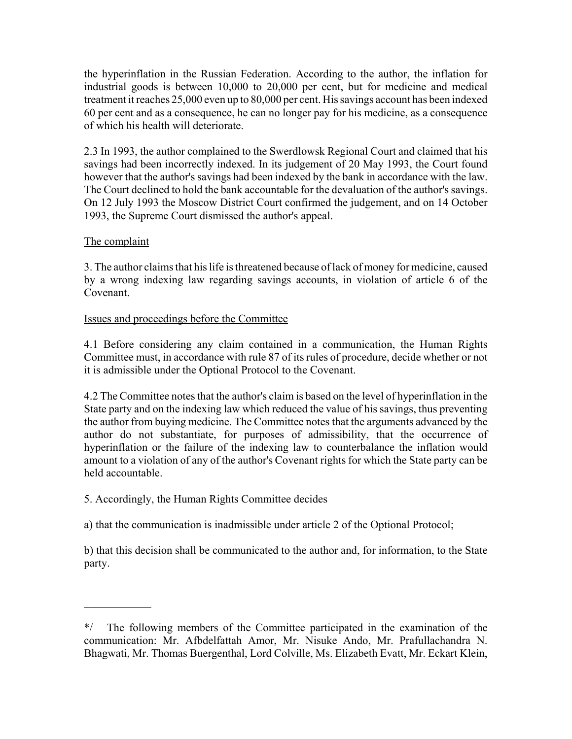the hyperinflation in the Russian Federation. According to the author, the inflation for industrial goods is between 10,000 to 20,000 per cent, but for medicine and medical treatment it reaches 25,000 even up to 80,000 per cent. His savings account has been indexed 60 per cent and as a consequence, he can no longer pay for his medicine, as a consequence of which his health will deteriorate.

2.3 In 1993, the author complained to the Swerdlowsk Regional Court and claimed that his savings had been incorrectly indexed. In its judgement of 20 May 1993, the Court found however that the author's savings had been indexed by the bank in accordance with the law. The Court declined to hold the bank accountable for the devaluation of the author's savings. On 12 July 1993 the Moscow District Court confirmed the judgement, and on 14 October 1993, the Supreme Court dismissed the author's appeal.

## The complaint

 $\mathcal{L}_\text{max}$ 

3. The author claims that his life is threatened because of lack of money for medicine, caused by a wrong indexing law regarding savings accounts, in violation of article 6 of the Covenant.

# Issues and proceedings before the Committee

4.1 Before considering any claim contained in a communication, the Human Rights Committee must, in accordance with rule 87 of its rules of procedure, decide whether or not it is admissible under the Optional Protocol to the Covenant.

4.2 The Committee notes that the author's claim is based on the level of hyperinflation in the State party and on the indexing law which reduced the value of his savings, thus preventing the author from buying medicine. The Committee notes that the arguments advanced by the author do not substantiate, for purposes of admissibility, that the occurrence of hyperinflation or the failure of the indexing law to counterbalance the inflation would amount to a violation of any of the author's Covenant rights for which the State party can be held accountable.

5. Accordingly, the Human Rights Committee decides

a) that the communication is inadmissible under article 2 of the Optional Protocol;

b) that this decision shall be communicated to the author and, for information, to the State party.

<sup>\*/</sup> The following members of the Committee participated in the examination of the communication: Mr. Afbdelfattah Amor, Mr. Nisuke Ando, Mr. Prafullachandra N. Bhagwati, Mr. Thomas Buergenthal, Lord Colville, Ms. Elizabeth Evatt, Mr. Eckart Klein,